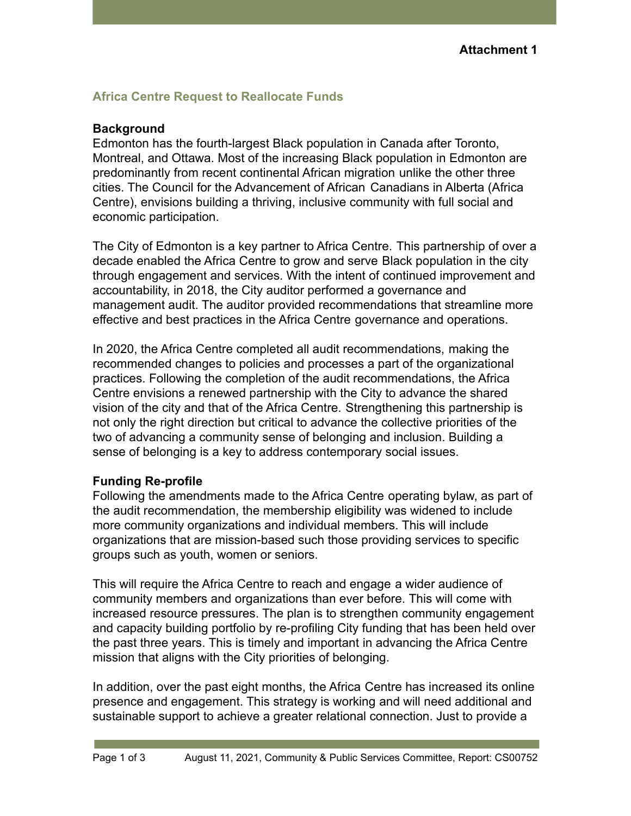## **Africa Centre Request to Reallocate Funds**

## **Background**

Edmonton has the fourth-largest Black population in Canada after Toronto, Montreal, and Ottawa. Most of the increasing Black population in Edmonton are predominantly from recent continental African migration unlike the other three cities. The Council for the Advancement of African Canadians in Alberta (Africa Centre), envisions building a thriving, inclusive community with full social and economic participation.

The City of Edmonton is a key partner to Africa Centre. This partnership of over a decade enabled the Africa Centre to grow and serve Black population in the city through engagement and services. With the intent of continued improvement and accountability, in 2018, the City auditor performed a governance and management audit. The auditor provided recommendations that streamline more effective and best practices in the Africa Centre governance and operations.

In 2020, the Africa Centre completed all audit recommendations, making the recommended changes to policies and processes a part of the organizational practices. Following the completion of the audit recommendations, the Africa Centre envisions a renewed partnership with the City to advance the shared vision of the city and that of the Africa Centre. Strengthening this partnership is not only the right direction but critical to advance the collective priorities of the two of advancing a community sense of belonging and inclusion. Building a sense of belonging is a key to address contemporary social issues.

## **Funding Re-profile**

Following the amendments made to the Africa Centre operating bylaw, as part of the audit recommendation, the membership eligibility was widened to include more community organizations and individual members. This will include organizations that are mission-based such those providing services to specific groups such as youth, women or seniors.

This will require the Africa Centre to reach and engage a wider audience of community members and organizations than ever before. This will come with increased resource pressures. The plan is to strengthen community engagement and capacity building portfolio by re-profiling City funding that has been held over the past three years. This is timely and important in advancing the Africa Centre mission that aligns with the City priorities of belonging.

In addition, over the past eight months, the Africa Centre has increased its online presence and engagement. This strategy is working and will need additional and sustainable support to achieve a greater relational connection. Just to provide a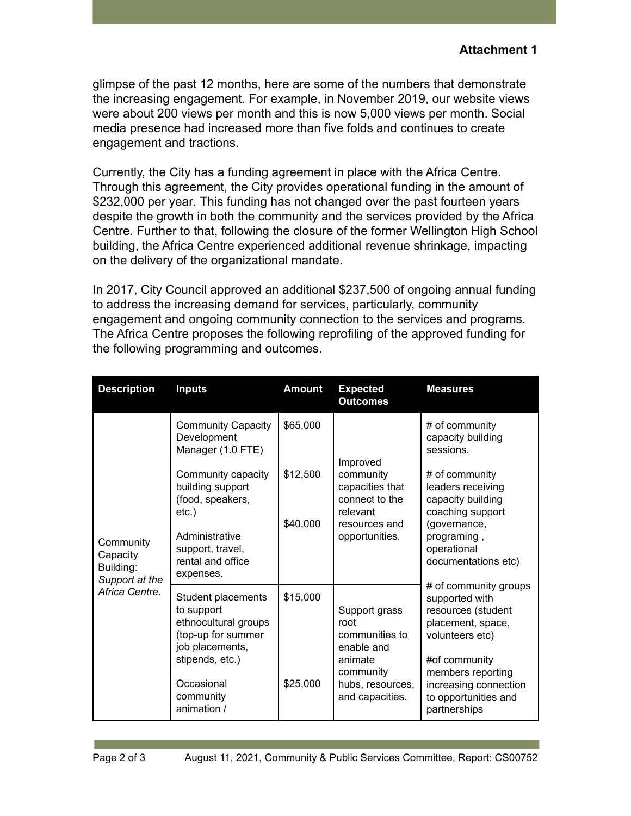glimpse of the past 12 months, here are some of the numbers that demonstrate the increasing engagement. For example, in November 2019, our website views were about 200 views per month and this is now 5,000 views per month. Social media presence had increased more than five folds and continues to create engagement and tractions.

Currently, the City has a funding agreement in place with the Africa Centre. Through this agreement, the City provides operational funding in the amount of \$232,000 per year*.* This funding has not changed over the past fourteen years despite the growth in both the community and the services provided by the Africa Centre. Further to that, following the closure of the former Wellington High School building, the Africa Centre experienced additional revenue shrinkage, impacting on the delivery of the organizational mandate.

In 2017, City Council approved an additional \$237,500 of ongoing annual funding to address the increasing demand for services, particularly, community engagement and ongoing community connection to the services and programs. The Africa Centre proposes the following reprofiling of the approved funding for the following programming and outcomes.

| <b>Description</b>                                                     | <b>Inputs</b>                                                                                                                                                                                                   | <b>Amount</b>                    | <b>Expected</b><br><b>Outcomes</b>                                                                                   | <b>Measures</b>                                                                                                                                                                                                                                                                                                                                                                                                       |
|------------------------------------------------------------------------|-----------------------------------------------------------------------------------------------------------------------------------------------------------------------------------------------------------------|----------------------------------|----------------------------------------------------------------------------------------------------------------------|-----------------------------------------------------------------------------------------------------------------------------------------------------------------------------------------------------------------------------------------------------------------------------------------------------------------------------------------------------------------------------------------------------------------------|
| Community<br>Capacity<br>Building:<br>Support at the<br>Africa Centre. | <b>Community Capacity</b><br>Development<br>Manager (1.0 FTE)<br>Community capacity<br>building support<br>(food, speakers,<br>$etc.$ )<br>Administrative<br>support, travel,<br>rental and office<br>expenses. | \$65,000<br>\$12,500<br>\$40,000 | Improved<br>community<br>capacities that<br>connect to the<br>relevant<br>resources and<br>opportunities.            | # of community<br>capacity building<br>sessions.<br># of community<br>leaders receiving<br>capacity building<br>coaching support<br>(governance,<br>programing,<br>operational<br>documentations etc)<br># of community groups<br>supported with<br>resources (student<br>placement, space,<br>volunteers etc)<br>#of community<br>members reporting<br>increasing connection<br>to opportunities and<br>partnerships |
|                                                                        | Student placements<br>to support<br>ethnocultural groups<br>(top-up for summer<br>job placements,<br>stipends, etc.)<br>Occasional<br>community<br>animation /                                                  | \$15,000<br>\$25,000             | Support grass<br>root<br>communities to<br>enable and<br>animate<br>community<br>hubs, resources,<br>and capacities. |                                                                                                                                                                                                                                                                                                                                                                                                                       |